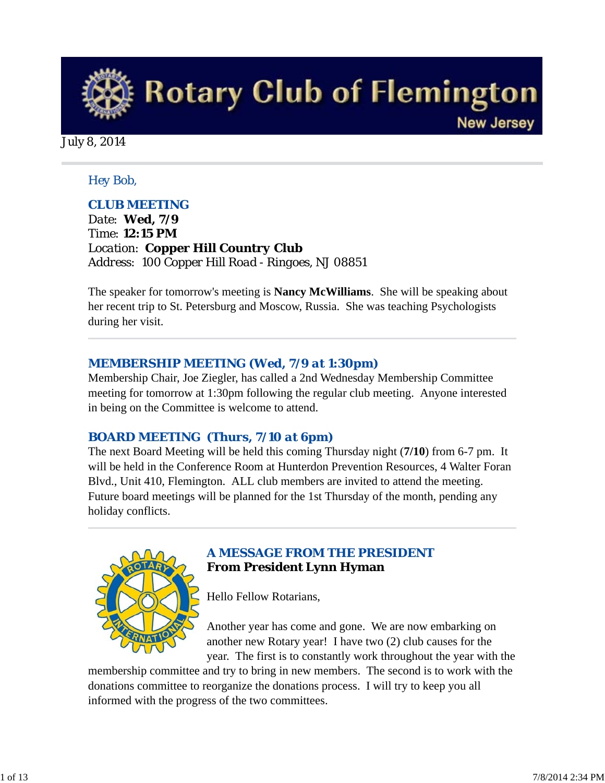

#### *Hey Bob,*

#### *CLUB MEETING*

*Date: Wed, 7/9 Time: 12:15 PM Location: Copper Hill Country Club Address: 100 Copper Hill Road - Ringoes, NJ 08851* 

The speaker for tomorrow's meeting is **Nancy McWilliams**. She will be speaking about her recent trip to St. Petersburg and Moscow, Russia. She was teaching Psychologists during her visit.

#### *MEMBERSHIP MEETING (Wed, 7/9 at 1:30pm)*

Membership Chair, Joe Ziegler, has called a 2nd Wednesday Membership Committee meeting for tomorrow at 1:30pm following the regular club meeting. Anyone interested in being on the Committee is welcome to attend.

#### *BOARD MEETING (Thurs, 7/10 at 6pm)*

The next Board Meeting will be held this coming Thursday night (**7/10**) from 6-7 pm. It will be held in the Conference Room at Hunterdon Prevention Resources, 4 Walter Foran Blvd., Unit 410, Flemington. ALL club members are invited to attend the meeting. Future board meetings will be planned for the 1st Thursday of the month, pending any holiday conflicts.



## *A MESSAGE FROM THE PRESIDENT* **From President Lynn Hyman**

Hello Fellow Rotarians,

Another year has come and gone. We are now embarking on another new Rotary year! I have two (2) club causes for the year. The first is to constantly work throughout the year with the

membership committee and try to bring in new members. The second is to work with the donations committee to reorganize the donations process. I will try to keep you all informed with the progress of the two committees.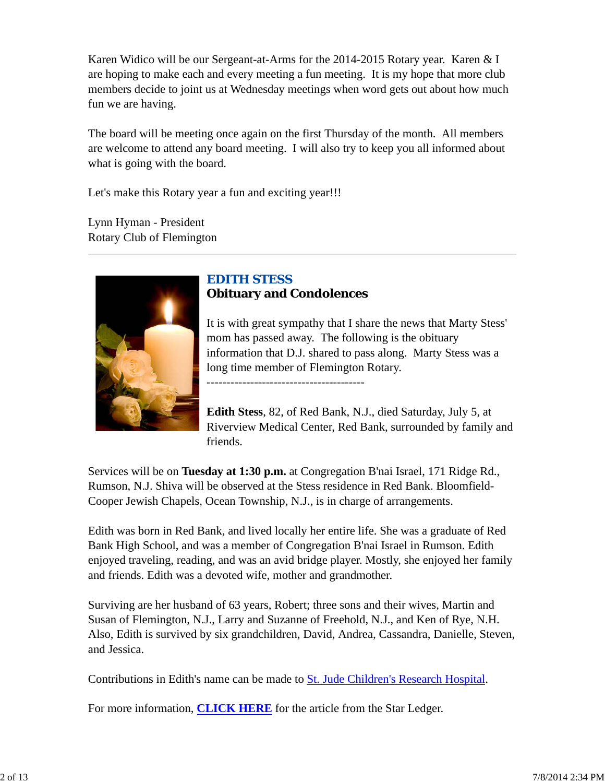Karen Widico will be our Sergeant-at-Arms for the 2014-2015 Rotary year. Karen & I are hoping to make each and every meeting a fun meeting. It is my hope that more club members decide to joint us at Wednesday meetings when word gets out about how much fun we are having.

The board will be meeting once again on the first Thursday of the month. All members are welcome to attend any board meeting. I will also try to keep you all informed about what is going with the board.

Let's make this Rotary year a fun and exciting year!!!

Lynn Hyman - President Rotary Club of Flemington



# *EDITH STESS* **Obituary and Condolences**

----------------------------------------

It is with great sympathy that I share the news that Marty Stess' mom has passed away. The following is the obituary information that D.J. shared to pass along. Marty Stess was a long time member of Flemington Rotary.

**Edith Stess**, 82, of Red Bank, N.J., died Saturday, July 5, at Riverview Medical Center, Red Bank, surrounded by family and friends.

Services will be on **Tuesday at 1:30 p.m.** at Congregation B'nai Israel, 171 Ridge Rd., Rumson, N.J. Shiva will be observed at the Stess residence in Red Bank. Bloomfield-Cooper Jewish Chapels, Ocean Township, N.J., is in charge of arrangements.

Edith was born in Red Bank, and lived locally her entire life. She was a graduate of Red Bank High School, and was a member of Congregation B'nai Israel in Rumson. Edith enjoyed traveling, reading, and was an avid bridge player. Mostly, she enjoyed her family and friends. Edith was a devoted wife, mother and grandmother.

Surviving are her husband of 63 years, Robert; three sons and their wives, Martin and Susan of Flemington, N.J., Larry and Suzanne of Freehold, N.J., and Ken of Rye, N.H. Also, Edith is survived by six grandchildren, David, Andrea, Cassandra, Danielle, Steven, and Jessica.

Contributions in Edith's name can be made to St. Jude Children's Research Hospital.

For more information, **CLICK HERE** for the article from the Star Ledger.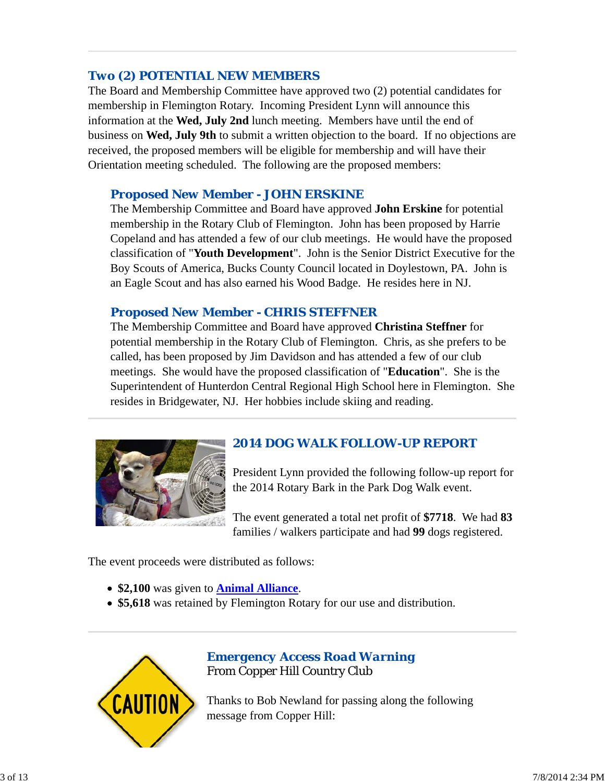# *Two (2) POTENTIAL NEW MEMBERS*

The Board and Membership Committee have approved two (2) potential candidates for membership in Flemington Rotary. Incoming President Lynn will announce this information at the **Wed, July 2nd** lunch meeting. Members have until the end of business on **Wed, July 9th** to submit a written objection to the board. If no objections are received, the proposed members will be eligible for membership and will have their Orientation meeting scheduled. The following are the proposed members:

## *Proposed New Member - JOHN ERSKINE*

The Membership Committee and Board have approved **John Erskine** for potential membership in the Rotary Club of Flemington. John has been proposed by Harrie Copeland and has attended a few of our club meetings. He would have the proposed classification of "**Youth Development**". John is the Senior District Executive for the Boy Scouts of America, Bucks County Council located in Doylestown, PA. John is an Eagle Scout and has also earned his Wood Badge. He resides here in NJ.

#### *Proposed New Member - CHRIS STEFFNER*

The Membership Committee and Board have approved **Christina Steffner** for potential membership in the Rotary Club of Flemington. Chris, as she prefers to be called, has been proposed by Jim Davidson and has attended a few of our club meetings. She would have the proposed classification of "**Education**". She is the Superintendent of Hunterdon Central Regional High School here in Flemington. She resides in Bridgewater, NJ. Her hobbies include skiing and reading.



# *2014 DOG WALK FOLLOW-UP REPORT*

President Lynn provided the following follow-up report for the 2014 Rotary Bark in the Park Dog Walk event.

The event generated a total net profit of **\$7718**. We had **83** families / walkers participate and had **99** dogs registered.

The event proceeds were distributed as follows:

- **\$2,100** was given to **Animal Alliance**.
- **\$5,618** was retained by Flemington Rotary for our use and distribution.



## *Emergency Access Road Warning* From Copper Hill Country Club

Thanks to Bob Newland for passing along the following message from Copper Hill: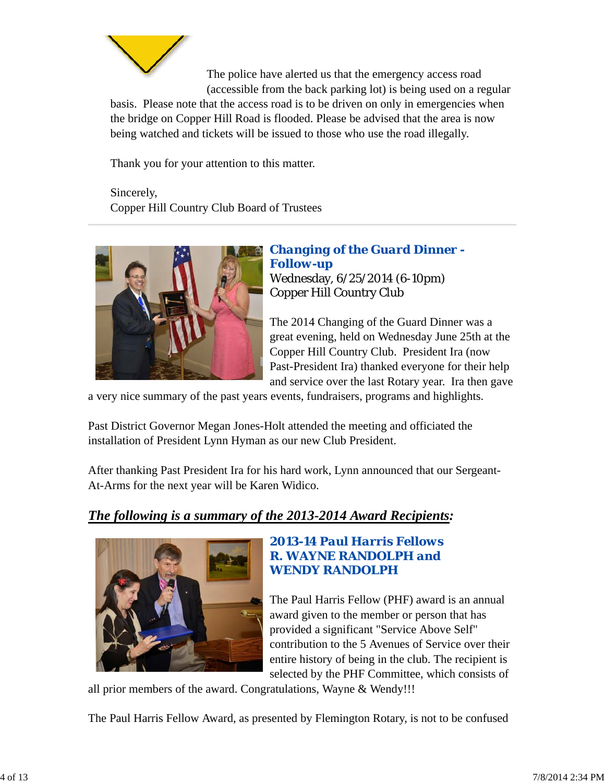

The police have alerted us that the emergency access road (accessible from the back parking lot) is being used on a regular

basis. Please note that the access road is to be driven on only in emergencies when the bridge on Copper Hill Road is flooded. Please be advised that the area is now being watched and tickets will be issued to those who use the road illegally.

Thank you for your attention to this matter.

Sincerely, Copper Hill Country Club Board of Trustees



*Changing of the Guard Dinner - Follow-up* Wednesday, 6/25/2014 (6-10pm) Copper Hill Country Club

The 2014 Changing of the Guard Dinner was a great evening, held on Wednesday June 25th at the Copper Hill Country Club. President Ira (now Past-President Ira) thanked everyone for their help and service over the last Rotary year. Ira then gave

a very nice summary of the past years events, fundraisers, programs and highlights.

Past District Governor Megan Jones-Holt attended the meeting and officiated the installation of President Lynn Hyman as our new Club President.

After thanking Past President Ira for his hard work, Lynn announced that our Sergeant-At-Arms for the next year will be Karen Widico.

# *The following is a summary of the 2013-2014 Award Recipients:*



## *2013-14 Paul Harris Fellows R. WAYNE RANDOLPH and WENDY RANDOLPH*

The Paul Harris Fellow (PHF) award is an annual award given to the member or person that has provided a significant "Service Above Self" contribution to the 5 Avenues of Service over their entire history of being in the club. The recipient is selected by the PHF Committee, which consists of

all prior members of the award. Congratulations, Wayne & Wendy!!!

The Paul Harris Fellow Award, as presented by Flemington Rotary, is not to be confused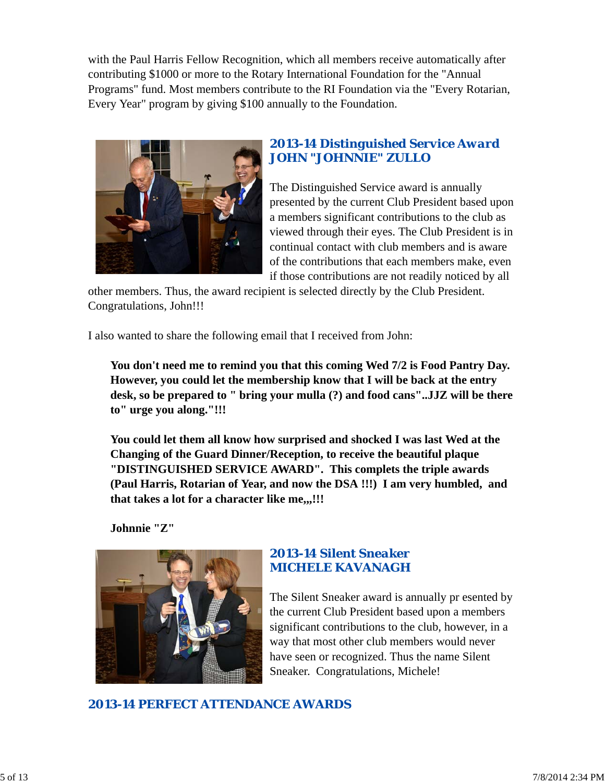with the Paul Harris Fellow Recognition, which all members receive automatically after contributing \$1000 or more to the Rotary International Foundation for the "Annual Programs" fund. Most members contribute to the RI Foundation via the "Every Rotarian, Every Year" program by giving \$100 annually to the Foundation.



## *2013-14 Distinguished Service Award JOHN "JOHNNIE" ZULLO*

The Distinguished Service award is annually presented by the current Club President based upon a members significant contributions to the club as viewed through their eyes. The Club President is in continual contact with club members and is aware of the contributions that each members make, even if those contributions are not readily noticed by all

other members. Thus, the award recipient is selected directly by the Club President. Congratulations, John!!!

I also wanted to share the following email that I received from John:

**You don't need me to remind you that this coming Wed 7/2 is Food Pantry Day. However, you could let the membership know that I will be back at the entry desk, so be prepared to " bring your mulla (?) and food cans"..JJZ will be there to" urge you along."!!!**

**You could let them all know how surprised and shocked I was last Wed at the Changing of the Guard Dinner/Reception, to receive the beautiful plaque "DISTINGUISHED SERVICE AWARD". This complets the triple awards (Paul Harris, Rotarian of Year, and now the DSA !!!) I am very humbled, and that takes a lot for a character like me,,,!!!**

**Johnnie "Z"**



## *2013-14 Silent Sneaker MICHELE KAVANAGH*

The Silent Sneaker award is annually pr esented by the current Club President based upon a members significant contributions to the club, however, in a way that most other club members would never have seen or recognized. Thus the name Silent Sneaker. Congratulations, Michele!

*2013-14 PERFECT ATTENDANCE AWARDS*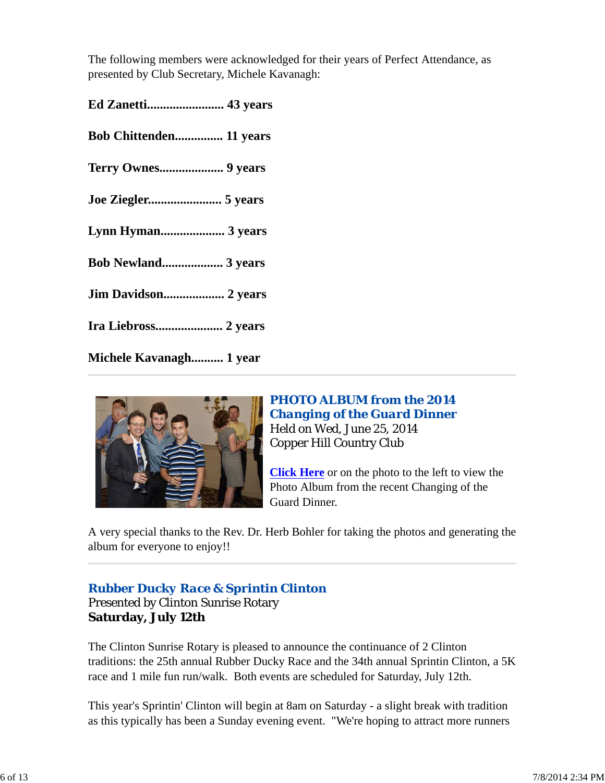The following members were acknowledged for their years of Perfect Attendance, as presented by Club Secretary, Michele Kavanagh:

| <b>Bob Chittenden 11 years</b> |
|--------------------------------|
|                                |
| Joe Ziegler 5 years            |
| Lynn Hyman 3 years             |
| Bob Newland 3 years            |
| Jim Davidson 2 years           |
| Ira Liebross 2 years           |
| Michele Kavanagh 1 year        |



## *PHOTO ALBUM from the 2014 Changing of the Guard Dinner* Held on Wed, June 25, 2014 Copper Hill Country Club

**Click Here** or on the photo to the left to view the Photo Album from the recent Changing of the Guard Dinner.

A very special thanks to the Rev. Dr. Herb Bohler for taking the photos and generating the album for everyone to enjoy!!

# *Rubber Ducky Race & Sprintin Clinton*

Presented by Clinton Sunrise Rotary **Saturday, July 12th**

The Clinton Sunrise Rotary is pleased to announce the continuance of 2 Clinton traditions: the 25th annual Rubber Ducky Race and the 34th annual Sprintin Clinton, a 5K race and 1 mile fun run/walk. Both events are scheduled for Saturday, July 12th.

This year's Sprintin' Clinton will begin at 8am on Saturday - a slight break with tradition as this typically has been a Sunday evening event. "We're hoping to attract more runners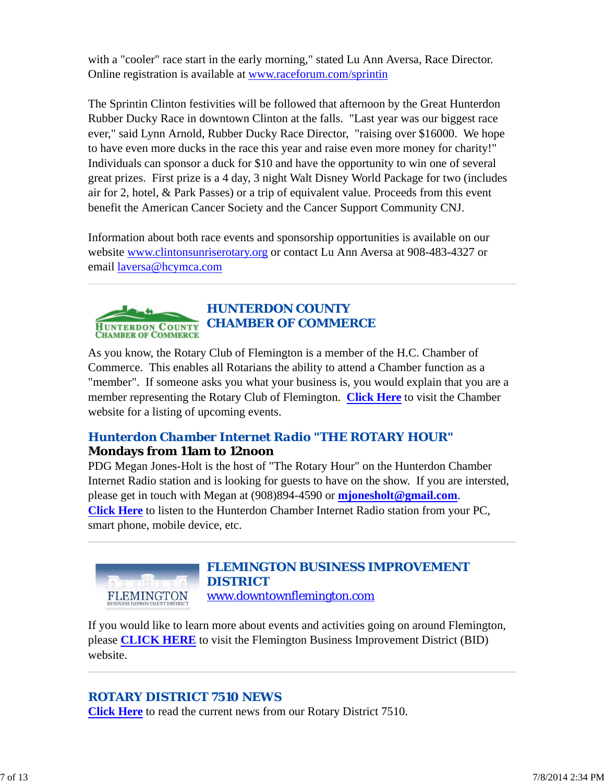with a "cooler" race start in the early morning," stated Lu Ann Aversa, Race Director. Online registration is available at www.raceforum.com/sprintin

The Sprintin Clinton festivities will be followed that afternoon by the Great Hunterdon Rubber Ducky Race in downtown Clinton at the falls. "Last year was our biggest race ever," said Lynn Arnold, Rubber Ducky Race Director, "raising over \$16000. We hope to have even more ducks in the race this year and raise even more money for charity!" Individuals can sponsor a duck for \$10 and have the opportunity to win one of several great prizes. First prize is a 4 day, 3 night Walt Disney World Package for two (includes air for 2, hotel, & Park Passes) or a trip of equivalent value. Proceeds from this event benefit the American Cancer Society and the Cancer Support Community CNJ.

Information about both race events and sponsorship opportunities is available on our website www.clintonsunriserotary.org or contact Lu Ann Aversa at 908-483-4327 or email laversa@hcymca.com



# *HUNTERDON COUNTY CHAMBER OF COMMERCE*

As you know, the Rotary Club of Flemington is a member of the H.C. Chamber of Commerce. This enables all Rotarians the ability to attend a Chamber function as a "member". If someone asks you what your business is, you would explain that you are a member representing the Rotary Club of Flemington. **Click Here** to visit the Chamber website for a listing of upcoming events.

# *Hunterdon Chamber Internet Radio "THE ROTARY HOUR"* **Mondays from 11am to 12noon**

PDG Megan Jones-Holt is the host of "The Rotary Hour" on the Hunterdon Chamber Internet Radio station and is looking for guests to have on the show. If you are intersted, please get in touch with Megan at (908)894-4590 or **mjonesholt@gmail.com**. **Click Here** to listen to the Hunterdon Chamber Internet Radio station from your PC, smart phone, mobile device, etc.



#### *FLEMINGTON BUSINESS IMPROVEMENT DISTRICT* www.downtownflemington.com

If you would like to learn more about events and activities going on around Flemington, please **CLICK HERE** to visit the Flemington Business Improvement District (BID) website.

# *ROTARY DISTRICT 7510 NEWS*

**Click Here** to read the current news from our Rotary District 7510.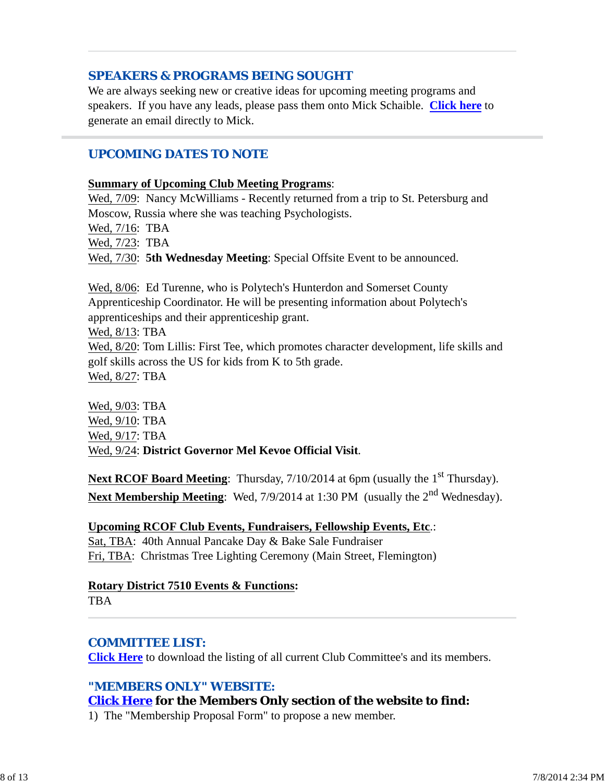## *SPEAKERS & PROGRAMS BEING SOUGHT*

We are always seeking new or creative ideas for upcoming meeting programs and speakers. If you have any leads, please pass them onto Mick Schaible. **Click here** to generate an email directly to Mick.

#### *UPCOMING DATES TO NOTE*

#### **Summary of Upcoming Club Meeting Programs**:

Wed, 7/09: Nancy McWilliams - Recently returned from a trip to St. Petersburg and Moscow, Russia where she was teaching Psychologists.

Wed, 7/16: TBA

Wed, 7/23: TBA

Wed, 7/30: **5th Wednesday Meeting**: Special Offsite Event to be announced.

Wed, 8/06: Ed Turenne, who is Polytech's Hunterdon and Somerset County Apprenticeship Coordinator. He will be presenting information about Polytech's apprenticeships and their apprenticeship grant.

Wed, 8/13: TBA

Wed, 8/20: Tom Lillis: First Tee, which promotes character development, life skills and golf skills across the US for kids from K to 5th grade. Wed, 8/27: TBA

Wed, 9/03: TBA Wed, 9/10: TBA Wed, 9/17: TBA Wed, 9/24: **District Governor Mel Kevoe Official Visit**.

**Next RCOF Board Meeting**: Thursday, 7/10/2014 at 6pm (usually the 1<sup>st</sup> Thursday). Next Membership Meeting: Wed, 7/9/2014 at 1:30 PM (usually the 2<sup>nd</sup> Wednesday).

#### **Upcoming RCOF Club Events, Fundraisers, Fellowship Events, Etc**.:

Sat, TBA: 40th Annual Pancake Day & Bake Sale Fundraiser Fri, TBA: Christmas Tree Lighting Ceremony (Main Street, Flemington)

#### **Rotary District 7510 Events & Functions:**

**TBA** 

#### *COMMITTEE LIST:*

**Click Here** to download the listing of all current Club Committee's and its members.

#### *"MEMBERS ONLY" WEBSITE:*

#### **Click Here for the Members Only section of the website to find:**

1) The "Membership Proposal Form" to propose a new member.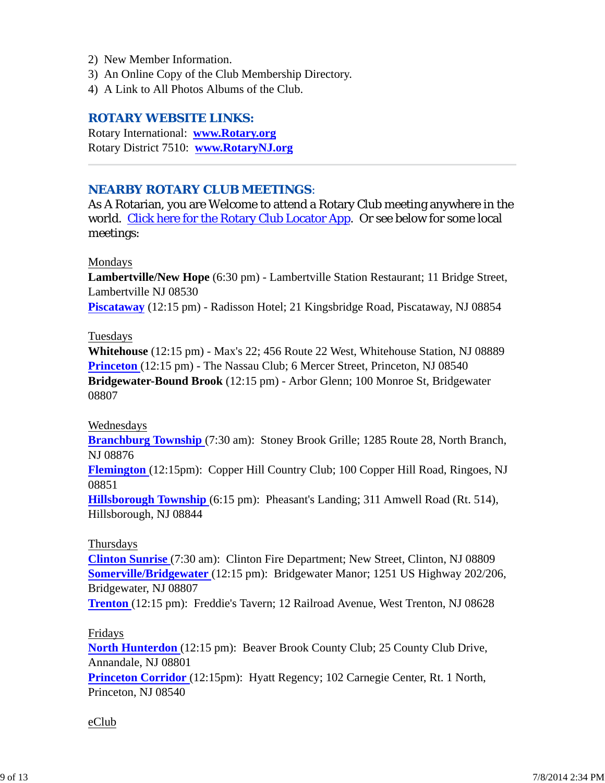- 2) New Member Information.
- 3) An Online Copy of the Club Membership Directory.
- 4) A Link to All Photos Albums of the Club.

#### *ROTARY WEBSITE LINKS:*

Rotary International: **www.Rotary.org** Rotary District 7510: **www.RotaryNJ.org**

#### *NEARBY ROTARY CLUB MEETINGS:*

As A Rotarian, you are Welcome to attend a Rotary Club meeting anywhere in the world. Click here for the Rotary Club Locator App. Or see below for some local meetings:

#### Mondays

**Lambertville/New Hope** (6:30 pm) - Lambertville Station Restaurant; 11 Bridge Street, Lambertville NJ 08530

**Piscataway** (12:15 pm) - Radisson Hotel; 21 Kingsbridge Road, Piscataway, NJ 08854

#### Tuesdays

**Whitehouse** (12:15 pm) - Max's 22; 456 Route 22 West, Whitehouse Station, NJ 08889 **Princeton** (12:15 pm) - The Nassau Club; 6 Mercer Street, Princeton, NJ 08540 **Bridgewater-Bound Brook** (12:15 pm) - Arbor Glenn; 100 Monroe St, Bridgewater 08807

#### Wednesdays

**Branchburg Township** (7:30 am): Stoney Brook Grille; 1285 Route 28, North Branch, NJ 08876

**Flemington** (12:15pm): Copper Hill Country Club; 100 Copper Hill Road, Ringoes, NJ 08851

**Hillsborough Township** (6:15 pm): Pheasant's Landing; 311 Amwell Road (Rt. 514), Hillsborough, NJ 08844

#### Thursdays

**Clinton Sunrise** (7:30 am): Clinton Fire Department; New Street, Clinton, NJ 08809 **Somerville/Bridgewater** (12:15 pm): Bridgewater Manor; 1251 US Highway 202/206, Bridgewater, NJ 08807

**Trenton** (12:15 pm): Freddie's Tavern; 12 Railroad Avenue, West Trenton, NJ 08628

#### Fridays

**North Hunterdon** (12:15 pm): Beaver Brook County Club; 25 County Club Drive, Annandale, NJ 08801 **Princeton Corridor** (12:15pm): Hyatt Regency; 102 Carnegie Center, Rt. 1 North,

Princeton, NJ 08540

#### eClub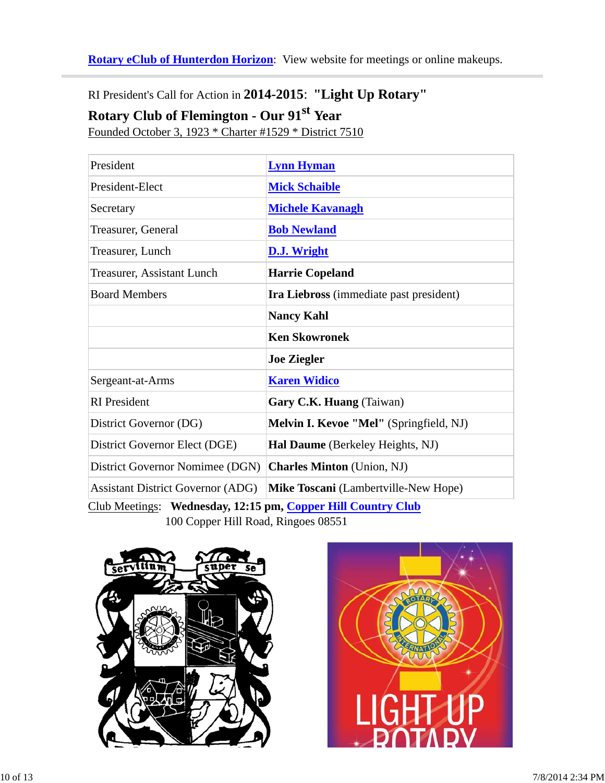**Rotary eClub of Hunterdon Horizon**: View website for meetings or online makeups.

RI President's Call for Action in **2014-2015**: **"Light Up Rotary"**

# **Rotary Club of Flemington - Our 91st Year**

Founded October 3, 1923 \* Charter #1529 \* District 7510

| President                                                    | <b>Lynn Hyman</b>                              |  |  |  |
|--------------------------------------------------------------|------------------------------------------------|--|--|--|
| President-Elect                                              | <b>Mick Schaible</b>                           |  |  |  |
| Secretary                                                    | <b>Michele Kavanagh</b>                        |  |  |  |
| Treasurer, General                                           | <b>Bob Newland</b>                             |  |  |  |
| Treasurer, Lunch                                             | <b>D.J. Wright</b>                             |  |  |  |
| Treasurer, Assistant Lunch                                   | <b>Harrie Copeland</b>                         |  |  |  |
| <b>Board Members</b>                                         | <b>Ira Liebross</b> (immediate past president) |  |  |  |
|                                                              | <b>Nancy Kahl</b>                              |  |  |  |
|                                                              | <b>Ken Skowronek</b>                           |  |  |  |
|                                                              | <b>Joe Ziegler</b>                             |  |  |  |
| Sergeant-at-Arms                                             | <b>Karen Widico</b>                            |  |  |  |
| <b>RI</b> President                                          | Gary C.K. Huang (Taiwan)                       |  |  |  |
| District Governor (DG)                                       | <b>Melvin I. Kevoe "Mel"</b> (Springfield, NJ) |  |  |  |
| District Governor Elect (DGE)                                | Hal Daume (Berkeley Heights, NJ)               |  |  |  |
| District Governor Nomimee (DGN)                              | <b>Charles Minton</b> (Union, NJ)              |  |  |  |
| <b>Assistant District Governor (ADG)</b>                     | <b>Mike Toscani</b> (Lambertville-New Hope)    |  |  |  |
| Club Meetings: Wednesday, 12:15 pm, Copper Hill Country Club |                                                |  |  |  |

100 Copper Hill Road, Ringoes 08551



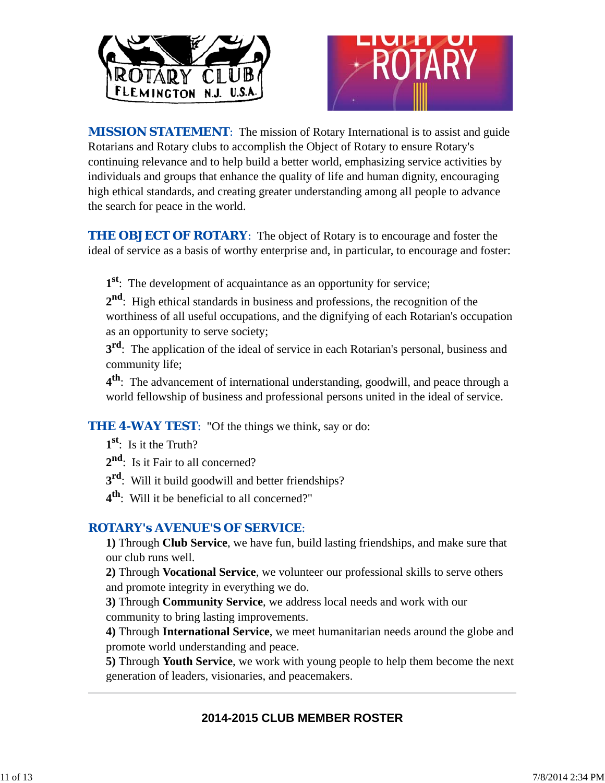



*MISSION STATEMENT*: The mission of Rotary International is to assist and guide Rotarians and Rotary clubs to accomplish the Object of Rotary to ensure Rotary's continuing relevance and to help build a better world, emphasizing service activities by individuals and groups that enhance the quality of life and human dignity, encouraging high ethical standards, and creating greater understanding among all people to advance the search for peace in the world.

**THE OBJECT OF ROTARY:** The object of Rotary is to encourage and foster the ideal of service as a basis of worthy enterprise and, in particular, to encourage and foster:

**1st**: The development of acquaintance as an opportunity for service;

**2nd**: High ethical standards in business and professions, the recognition of the worthiness of all useful occupations, and the dignifying of each Rotarian's occupation as an opportunity to serve society;

**3rd**: The application of the ideal of service in each Rotarian's personal, business and community life;

**4th**: The advancement of international understanding, goodwill, and peace through a world fellowship of business and professional persons united in the ideal of service.

**THE 4-WAY TEST:** "Of the things we think, say or do:

- **1st**: Is it the Truth?
- 2<sup>nd</sup>: Is it Fair to all concerned?
- **3rd**: Will it build goodwill and better friendships?
- **4th**: Will it be beneficial to all concerned?"

## *ROTARY's AVENUE'S OF SERVICE*:

**1)** Through **Club Service**, we have fun, build lasting friendships, and make sure that our club runs well.

**2)** Through **Vocational Service**, we volunteer our professional skills to serve others and promote integrity in everything we do.

**3)** Through **Community Service**, we address local needs and work with our community to bring lasting improvements.

**4)** Through **International Service**, we meet humanitarian needs around the globe and promote world understanding and peace.

**5)** Through **Youth Service**, we work with young people to help them become the next generation of leaders, visionaries, and peacemakers.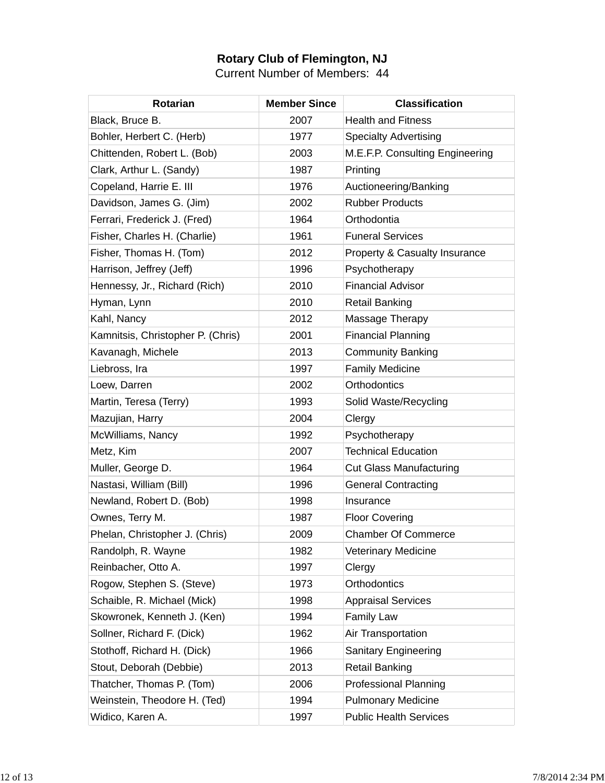## **Rotary Club of Flemington, NJ**

Current Number of Members: 44

| <b>Rotarian</b>                   | <b>Member Since</b> | <b>Classification</b>                    |
|-----------------------------------|---------------------|------------------------------------------|
| Black, Bruce B.                   | 2007                | <b>Health and Fitness</b>                |
| Bohler, Herbert C. (Herb)         | 1977                | <b>Specialty Advertising</b>             |
| Chittenden, Robert L. (Bob)       | 2003                | M.E.F.P. Consulting Engineering          |
| Clark, Arthur L. (Sandy)          | 1987                | Printing                                 |
| Copeland, Harrie E. III           | 1976                | Auctioneering/Banking                    |
| Davidson, James G. (Jim)          | 2002                | <b>Rubber Products</b>                   |
| Ferrari, Frederick J. (Fred)      | 1964                | Orthodontia                              |
| Fisher, Charles H. (Charlie)      | 1961                | <b>Funeral Services</b>                  |
| Fisher, Thomas H. (Tom)           | 2012                | <b>Property &amp; Casualty Insurance</b> |
| Harrison, Jeffrey (Jeff)          | 1996                | Psychotherapy                            |
| Hennessy, Jr., Richard (Rich)     | 2010                | <b>Financial Advisor</b>                 |
| Hyman, Lynn                       | 2010                | <b>Retail Banking</b>                    |
| Kahl, Nancy                       | 2012                | Massage Therapy                          |
| Kamnitsis, Christopher P. (Chris) | 2001                | <b>Financial Planning</b>                |
| Kavanagh, Michele                 | 2013                | <b>Community Banking</b>                 |
| Liebross, Ira                     | 1997                | <b>Family Medicine</b>                   |
| Loew, Darren                      | 2002                | Orthodontics                             |
| Martin, Teresa (Terry)            | 1993                | Solid Waste/Recycling                    |
| Mazujian, Harry                   | 2004                | Clergy                                   |
| McWilliams, Nancy                 | 1992                | Psychotherapy                            |
| Metz, Kim                         | 2007                | <b>Technical Education</b>               |
| Muller, George D.                 | 1964                | <b>Cut Glass Manufacturing</b>           |
| Nastasi, William (Bill)           | 1996                | <b>General Contracting</b>               |
| Newland, Robert D. (Bob)          | 1998                | Insurance                                |
| Ownes, Terry M.                   | 1987                | <b>Floor Covering</b>                    |
| Phelan, Christopher J. (Chris)    | 2009                | <b>Chamber Of Commerce</b>               |
| Randolph, R. Wayne                | 1982                | <b>Veterinary Medicine</b>               |
| Reinbacher, Otto A.               | 1997                | Clergy                                   |
| Rogow, Stephen S. (Steve)         | 1973                | Orthodontics                             |
| Schaible, R. Michael (Mick)       | 1998                | <b>Appraisal Services</b>                |
| Skowronek, Kenneth J. (Ken)       | 1994                | <b>Family Law</b>                        |
| Sollner, Richard F. (Dick)        | 1962                | Air Transportation                       |
| Stothoff, Richard H. (Dick)       | 1966                | <b>Sanitary Engineering</b>              |
| Stout, Deborah (Debbie)           | 2013                | <b>Retail Banking</b>                    |
| Thatcher, Thomas P. (Tom)         | 2006                | <b>Professional Planning</b>             |
| Weinstein, Theodore H. (Ted)      | 1994                | <b>Pulmonary Medicine</b>                |
| Widico, Karen A.                  | 1997                | <b>Public Health Services</b>            |